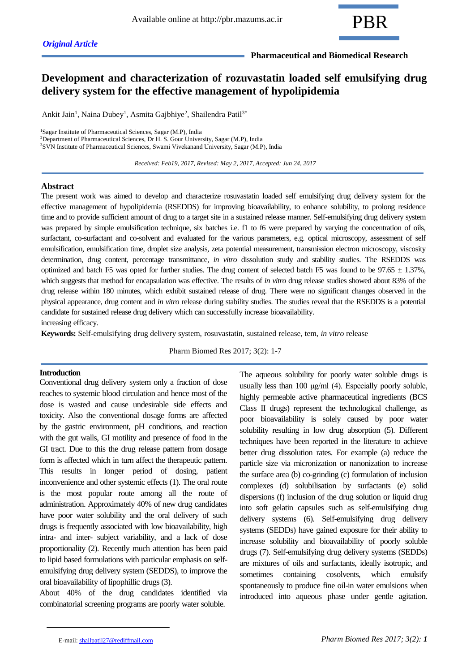

 **Pharmaceutical and Biomedical Research**

# **Development and characterization of rozuvastatin loaded self emulsifying drug delivery system for the effective management of hypolipidemia**

Ankit Jain<sup>1</sup>, Naina Dubey<sup>1</sup>, Asmita Gajbhiye<sup>2</sup>, Shailendra Patil<sup>3\*</sup>

<sup>1</sup>Sagar Institute of Pharmaceutical Sciences, Sagar (M.P), India <sup>2</sup>Department of Pharmaceutical Sciences, Dr H. S. Gour University, Sagar (M.P), India

<sup>3</sup>SVN Institute of Pharmaceutical Sciences, Swami Vivekanand University, Sagar (M.P), India

 *Received: Feb19, 2017, Revised: May 2, 2017, Accepted: Jun 24, 2017*

### **Abstract**

The present work was aimed to develop and characterize rosuvastatin loaded self emulsifying drug delivery system for the effective management of hypolipidemia (RSEDDS) for improving bioavailability, to enhance solubility, to prolong residence time and to provide sufficient amount of drug to a target site in a sustained release manner. Self-emulsifying drug delivery system was prepared by simple emulsification technique, six batches i.e. f1 to f6 were prepared by varying the concentration of oils, surfactant, co-surfactant and co-solvent and evaluated for the various parameters, e.g. optical microscopy, assessment of self emulsification, emulsification time, droplet size analysis, zeta potential measurement, transmission electron microscopy, viscosity determination, drug content, percentage transmittance, *in vitro* dissolution study and stability studies. The RSEDDS was optimized and batch F5 was opted for further studies. The drug content of selected batch F5 was found to be  $97.65 \pm 1.37$ %, which suggests that method for encapsulation was effective. The results of *in vitro* drug release studies showed about 83% of the drug release within 180 minutes, which exhibit sustained release of drug. There were no significant changes observed in the physical appearance, drug content and *in vitro* release during stability studies. The studies reveal that the RSEDDS is a potential candidate for sustained release drug delivery which can successfully increase bioavailability.

increasing efficacy.

**Keywords:** Self-emulsifying drug delivery system, rosuvastatin, sustained release, tem, *in vitro* release

Pharm Biomed Res 2017; 3(2): 1-7

### **Introduction**

Conventional drug delivery system only a fraction of dose reaches to systemic blood circulation and hence most of the dose is wasted and cause undesirable side effects and toxicity. Also the conventional dosage forms are affected by the gastric environment, pH conditions, and reaction with the gut walls, GI motility and presence of food in the GI tract. Due to this the drug release pattern from dosage form is affected which in turn affect the therapeutic pattern. This results in longer period of dosing, patient inconvenience and other systemic effects (1). The oral route is the most popular route among all the route of administration. Approximately 40% of new drug candidates have poor water solubility and the oral delivery of such drugs is frequently associated with low bioavailability, high intra- and inter- subject variability, and a lack of dose proportionality (2). Recently much attention has been paid to lipid based formulations with particular emphasis on selfemulsifying drug delivery system (SEDDS), to improve the oral bioavailability of lipophillic drugs (3).

About 40% of the drug candidates identified via combinatorial screening programs are poorly water soluble.

The aqueous solubility for poorly water soluble drugs is usually less than 100 μg/ml (4). Especially poorly soluble, highly permeable active pharmaceutical ingredients (BCS Class II drugs) represent the technological challenge, as poor bioavailability is solely caused by poor water solubility resulting in low drug absorption (5). Different techniques have been reported in the literature to achieve better drug dissolution rates. For example (a) reduce the particle size via micronization or nanonization to increase the surface area (b) co-grinding (c) formulation of inclusion complexes (d) solubilisation by surfactants (e) solid dispersions (f) inclusion of the drug solution or liquid drug into soft gelatin capsules such as self-emulsifying drug delivery systems (6). Self-emulsifying drug delivery systems (SEDDs) have gained exposure for their ability to increase solubility and bioavailability of poorly soluble drugs (7). Self-emulsifying drug delivery systems (SEDDs) are mixtures of oils and surfactants, ideally isotropic, and sometimes containing cosolvents, which emulsify spontaneously to produce fine oil-in water emulsions when introduced into aqueous phase under gentle agitation.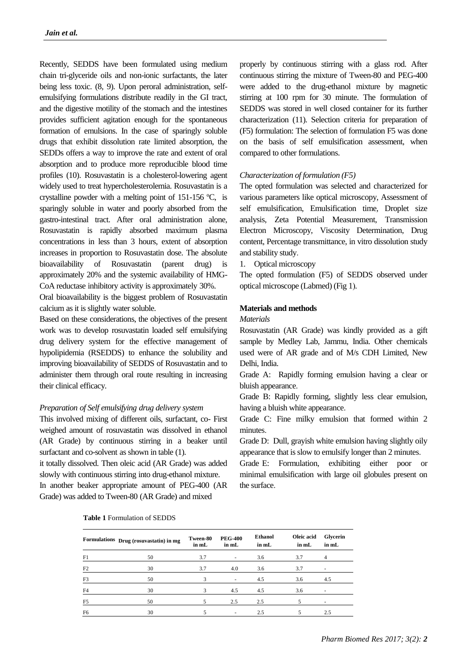Recently, SEDDS have been formulated using medium chain tri-glyceride oils and non-ionic surfactants, the later being less toxic. (8, 9). Upon peroral administration, selfemulsifying formulations distribute readily in the GI tract, and the digestive motility of the stomach and the intestines provides sufficient agitation enough for the spontaneous formation of emulsions. In the case of sparingly soluble drugs that exhibit dissolution rate limited absorption, the SEDDs offers a way to improve the rate and extent of oral absorption and to produce more reproducible blood time profiles (10). Rosuvastatin is a cholesterol-lowering agent widely used to treat hypercholesterolemia. Rosuvastatin is a crystalline powder with a melting point of 151-156 ºC, is sparingly soluble in water and poorly absorbed from the gastro-intestinal tract. After oral administration alone, Rosuvastatin is rapidly absorbed maximum plasma concentrations in less than 3 hours, extent of absorption increases in proportion to Rosuvastatin dose. The absolute bioavailability of Rosuvastatin (parent drug) is approximately 20% and the systemic availability of HMG-CoA reductase inhibitory activity is approximately 30%.

Oral bioavailability is the biggest problem of Rosuvastatin calcium as it is slightly water soluble.

Based on these considerations, the objectives of the present work was to develop rosuvastatin loaded self emulsifying drug delivery system for the effective management of hypolipidemia (RSEDDS) to enhance the solubility and improving bioavailability of SEDDS of Rosuvastatin and to administer them through oral route resulting in increasing their clinical efficacy.

### *Preparation of Self emulsifying drug delivery system*

This involved mixing of different oils, surfactant, co- First weighed amount of rosuvastatin was dissolved in ethanol (AR Grade) by continuous stirring in a beaker until surfactant and co-solvent as shown in table (1).

it totally dissolved. Then oleic acid (AR Grade) was added slowly with continuous stirring into drug-ethanol mixture. In another beaker appropriate amount of PEG-400 (AR Grade) was added to Tween-80 (AR Grade) and mixed

properly by continuous stirring with a glass rod. After continuous stirring the mixture of Tween-80 and PEG-400 were added to the drug-ethanol mixture by magnetic stirring at 100 rpm for 30 minute. The formulation of SEDDS was stored in well closed container for its further characterization (11). Selection criteria for preparation of (F5) formulation: The selection of formulation F5 was done on the basis of self emulsification assessment, when compared to other formulations.

#### *Characterization of formulation (F5)*

The opted formulation was selected and characterized for various parameters like optical microscopy, Assessment of self emulsification, Emulsification time, Droplet size analysis, Zeta Potential Measurement, Transmission Electron Microscopy, Viscosity Determination, Drug content, Percentage transmittance, in vitro dissolution study and stability study.

1. Optical microscopy

The opted formulation (F5) of SEDDS observed under optical microscope (Labmed) (Fig 1).

### **Materials and methods**

### *Materials*

Rosuvastatin (AR Grade) was kindly provided as a gift sample by Medley Lab, Jammu, India. Other chemicals used were of AR grade and of M/s CDH Limited, New Delhi, India.

Grade A: Rapidly forming emulsion having a clear or bluish appearance.

Grade B: Rapidly forming, slightly less clear emulsion, having a bluish white appearance.

Grade C: Fine milky emulsion that formed within 2 minutes.

Grade D: Dull, grayish white emulsion having slightly oily appearance that is slow to emulsify longer than 2 minutes.

Grade E: Formulation, exhibiting either poor or minimal emulsification with large oil globules present on the surface.

#### **Table 1** Formulation of SEDDS

|                | Formulations Drug (rosuvastatin) in mg | Tween-80<br>in mL | <b>PEG-400</b><br>in mL  | <b>Ethanol</b><br>in mL | Oleic acid<br>in mL | Glycerin<br>in mL |
|----------------|----------------------------------------|-------------------|--------------------------|-------------------------|---------------------|-------------------|
| F1             | 50                                     | 3.7               | $\overline{\phantom{a}}$ | 3.6                     | 3.7                 |                   |
| F2             | 30                                     | 3.7               | 4.0                      | 3.6                     | 3.7                 |                   |
| F3             | 50                                     |                   | $\sim$                   | 4.5                     | 3.6                 | 4.5               |
| F4             | 30                                     |                   | 4.5                      | 4.5                     | 3.6                 |                   |
| F <sub>5</sub> | 50                                     |                   | 2.5                      | 2.5                     |                     |                   |
| F <sub>6</sub> | 30                                     |                   | ٠                        | 2.5                     |                     | 2.5               |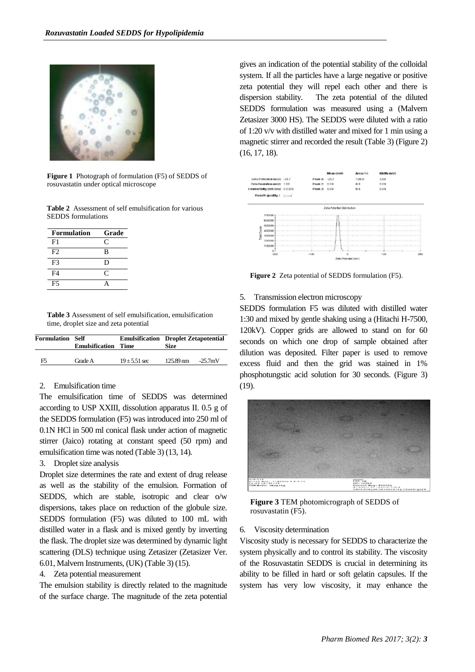

**Figure 1** Photograph of formulation (F5) of SEDDS of rosuvastatin under optical microscope

**Table 2** Assessment of self emulsification for various SEDDS formulations

| <b>Formulation</b> | Grade     |
|--------------------|-----------|
| F1                 | C         |
| F2                 | B         |
| F <sup>3</sup>     | D         |
| F4                 | $\subset$ |
| F5                 |           |

**Table 3** Assessment of self emulsification, emulsification time, droplet size and zeta potential

| <b>Formulation Self</b> | <b>Emulsification Time</b> | <b>Emulsification</b> Droplet Zetapotential | Size                   |            |
|-------------------------|----------------------------|---------------------------------------------|------------------------|------------|
| F5                      | Grade A                    | $19 + 5.51$ sec                             | $125.89 \,\mathrm{nm}$ | $-25.7$ mV |

### 2. Emulsification time

The emulsification time of SEDDS was determined according to USP XXIII, dissolution apparatus II. 0.5 g of the SEDDS formulation (F5) was introduced into 250 ml of 0.1N HCl in 500 ml conical flask under action of magnetic stirrer (Jaico) rotating at constant speed (50 rpm) and emulsification time was noted (Table 3) (13, 14).

#### 3. Droplet size analysis

Droplet size determines the rate and extent of drug release as well as the stability of the emulsion. Formation of SEDDS, which are stable, isotropic and clear o/w dispersions, takes place on reduction of the globule size. SEDDS formulation (F5) was diluted to 100 mL with distilled water in a flask and is mixed gently by inverting the flask. The droplet size was determined by dynamic light scattering (DLS) technique using Zetasizer (Zetasizer Ver. 6.01, Malvern Instruments, (UK) (Table 3) (15).

### 4. Zeta potential measurement

The emulsion stability is directly related to the magnitude of the surface charge. The magnitude of the zeta potential

gives an indication of the potential stability of the colloidal system. If all the particles have a large negative or positive zeta potential they will repel each other and there is dispersion stability. The zeta potential of the diluted SEDDS formulation was measured using a (Malvern Zetasizer 3000 HS). The SEDDS were diluted with a ratio of 1:20 v/v with distilled water and mixed for 1 min using a magnetic stirrer and recorded the result (Table 3) (Figure 2) (16, 17, 18).



**Figure 2** Zeta potential of SEDDS formulation (F5).

#### 5. Transmission electron microscopy

SEDDS formulation F5 was diluted with distilled water 1:30 and mixed by gentle shaking using a (Hitachi H-7500, 120kV). Copper grids are allowed to stand on for 60 seconds on which one drop of sample obtained after dilution was deposited. Filter paper is used to remove excess fluid and then the grid was stained in 1% phosphotungstic acid solution for 30 seconds. (Figure 3) (19).



**Figure 3** TEM photomicrograph of SEDDS of rosuvastatin (F5).

#### 6. Viscosity determination

Viscosity study is necessary for SEDDS to characterize the system physically and to control its stability. The viscosity of the Rosuvastatin SEDDS is crucial in determining its ability to be filled in hard or soft gelatin capsules. If the system has very low viscosity, it may enhance the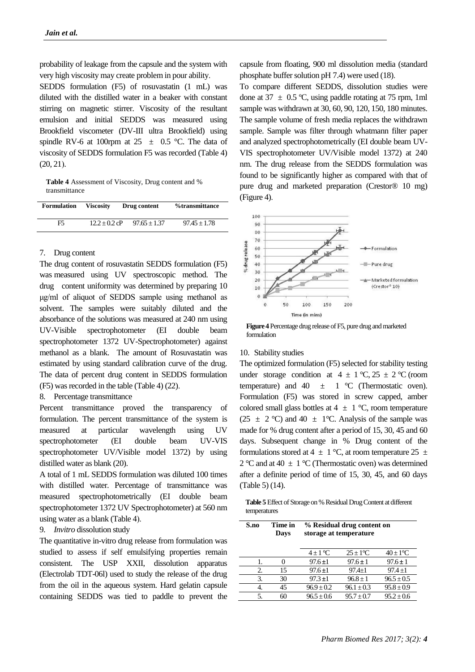probability of leakage from the capsule and the system with very high viscosity may create problem in pour ability.

SEDDS formulation (F5) of rosuvastatin (1 mL) was diluted with the distilled water in a beaker with constant stirring on magnetic stirrer. Viscosity of the resultant emulsion and initial SEDDS was measured using Brookfield viscometer (DV-III ultra Brookfield) using spindle RV-6 at 100rpm at 25  $\pm$  0.5 °C. The data of viscosity of SEDDS formulation F5 was recorded (Table 4)  $(20, 21)$ .

**Table 4** Assessment of Viscosity, Drug content and % transmittance

| <b>Formulation</b> | <b>Viscosity</b> | Drug content   | %transmittance |
|--------------------|------------------|----------------|----------------|
| F5                 | $12.2 + 0.2$ cP  | $97.65 + 1.37$ | $97.45 + 1.78$ |

### 7. Drug content

The drug content of rosuvastatin SEDDS formulation (F5) was measured using UV spectroscopic method. The drug content uniformity was determined by preparing 10 μg/ml of aliquot of SEDDS sample using methanol as solvent. The samples were suitably diluted and the absorbance of the solutions was measured at 240 nm using UV-Visible spectrophotometer (EI double beam spectrophotometer 1372 UV-Spectrophotometer) against methanol as a blank. The amount of Rosuvastatin was estimated by using standard calibration curve of the drug. The data of percent drug content in SEDDS formulation (F5) was recorded in the table (Table 4) (22).

### 8. Percentage transmittance

Percent transmittance proved the transparency of formulation. The percent transmittance of the system is measured at particular wavelength using UV spectrophotometer (EI double beam UV-VIS spectrophotometer UV/Visible model 1372) by using distilled water as blank (20).

A total of 1 mL SEDDS formulation was diluted 100 times with distilled water. Percentage of transmittance was measured spectrophotometrically (EI double beam spectrophotometer 1372 UV Spectrophotometer) at 560 nm using water as a blank (Table 4).

## 9. *Invitro* dissolution study

The quantitative in-vitro drug release from formulation was studied to assess if self emulsifying properties remain consistent. The USP XXII, dissolution apparatus (Electrolab TDT-06l) used to study the release of the drug from the oil in the aqueous system. Hard gelatin capsule containing SEDDS was tied to paddle to prevent the

capsule from floating, 900 ml dissolution media (standard phosphate buffer solution pH 7.4) were used (18).

To compare different SEDDS, dissolution studies were done at  $37 \pm 0.5$  °C, using paddle rotating at 75 rpm, 1ml sample was withdrawn at 30, 60, 90, 120, 150, 180 minutes. The sample volume of fresh media replaces the withdrawn sample. Sample was filter through whatmann filter paper and analyzed spectrophotometrically (EI double beam UV-VIS spectrophotometer UV/Visible model 1372) at 240 nm. The drug release from the SEDDS formulation was found to be significantly higher as compared with that of pure drug and marketed preparation (Crestor® 10 mg) (Figure 4).



**Figure 4** Percentage drug release of F5, pure drug and marketed formulation

### 10. Stability studies

The optimized formulation (F5) selected for stability testing under storage condition at  $4 \pm 1$  °C,  $25 \pm 2$  °C (room temperature) and  $40 \pm 1$  °C (Thermostatic oven). Formulation (F5) was stored in screw capped, amber colored small glass bottles at  $4 \pm 1$  °C, room temperature  $(25 \pm 2 \degree C)$  and  $40 \pm 1 \degree C$ . Analysis of the sample was made for % drug content after a period of 15, 30, 45 and 60 days. Subsequent change in % Drug content of the formulations stored at 4  $\pm$  1 °C, at room temperature 25  $\pm$ 2 °C and at 40  $\pm$  1 °C (Thermostatic oven) was determined after a definite period of time of 15, 30, 45, and 60 days (Table 5) (14).

**Table 5** Effect of Storage on % Residual Drug Content at different temperatures

| S.no | Time in<br>Davs | % Residual drug content on<br>storage at temperature |                       |                           |
|------|-----------------|------------------------------------------------------|-----------------------|---------------------------|
|      |                 | $4 \pm 1$ °C                                         | $25+1$ <sup>o</sup> C | $40 \pm 1$ <sup>o</sup> C |
|      |                 | $97.6 \pm 1$                                         | $97.6 \pm 1$          | $97.6 \pm 1$              |
| 2.   | 15              | $97.6 \pm 1$                                         | $97.4 + 1$            | $97.4 + 1$                |
| 3.   | 30              | $97.3 \pm 1$                                         | $96.8 + 1$            | $96.5 \pm 0.5$            |
| 4.   | 45              | $96.9 + 0.2$                                         | $96.1 \pm 0.3$        | $95.8 \pm 0.9$            |
| 5.   |                 | $96.5 + 0.6$                                         | $95.7 + 0.7$          | $95.2 \pm 0.6$            |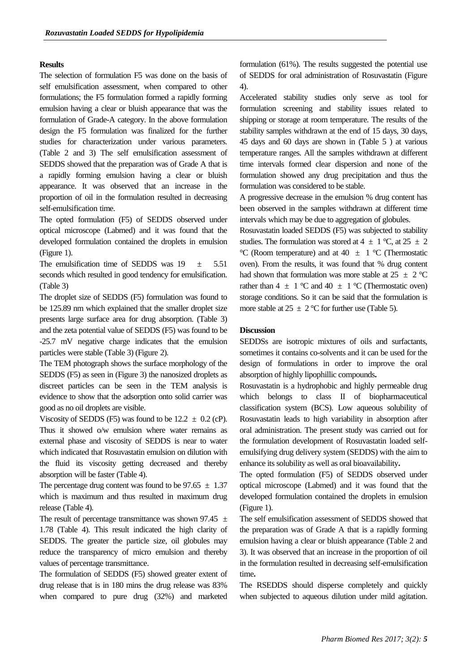### **Results**

The selection of formulation F5 was done on the basis of self emulsification assessment, when compared to other formulations; the F5 formulation formed a rapidly forming emulsion having a clear or bluish appearance that was the formulation of Grade-A category. In the above formulation design the F5 formulation was finalized for the further studies for characterization under various parameters. (Table 2 and 3) The self emulsification assessment of SEDDS showed that the preparation was of Grade A that is a rapidly forming emulsion having a clear or bluish appearance. It was observed that an increase in the proportion of oil in the formulation resulted in decreasing self-emulsification time.

The opted formulation (F5) of SEDDS observed under optical microscope (Labmed) and it was found that the developed formulation contained the droplets in emulsion (Figure 1).

The emulsification time of SEDDS was  $19 \pm 5.51$ seconds which resulted in good tendency for emulsification. (Table 3)

The droplet size of SEDDS (F5) formulation was found to be 125.89 nm which explained that the smaller droplet size presents large surface area for drug absorption. (Table 3) and the zeta potential value of SEDDS (F5) was found to be -25.7 mV negative charge indicates that the emulsion particles were stable (Table 3) (Figure 2).

The TEM photograph shows the surface morphology of the SEDDS (F5) as seen in (Figure 3) the nanosized droplets as discreet particles can be seen in the TEM analysis is evidence to show that the adsorption onto solid carrier was good as no oil droplets are visible.

Viscosity of SEDDS (F5) was found to be  $12.2 \pm 0.2$  (cP). Thus it showed o/w emulsion where water remains as external phase and viscosity of SEDDS is near to water which indicated that Rosuvastatin emulsion on dilution with the fluid its viscosity getting decreased and thereby absorption will be faster (Table 4).

The percentage drug content was found to be  $97.65 \pm 1.37$ which is maximum and thus resulted in maximum drug release (Table 4).

The result of percentage transmittance was shown 97.45  $\pm$ 1.78 (Table 4). This result indicated the high clarity of SEDDS. The greater the particle size, oil globules may reduce the transparency of micro emulsion and thereby values of percentage transmittance.

The formulation of SEDDS (F5) showed greater extent of drug release that is in 180 mins the drug release was 83% when compared to pure drug (32%) and marketed

formulation (61%). The results suggested the potential use of SEDDS for oral administration of Rosuvastatin (Figure 4).

Accelerated stability studies only serve as tool for formulation screening and stability issues related to shipping or storage at room temperature. The results of the stability samples withdrawn at the end of 15 days, 30 days, 45 days and 60 days are shown in (Table 5 ) at various temperature ranges. All the samples withdrawn at different time intervals formed clear dispersion and none of the formulation showed any drug precipitation and thus the formulation was considered to be stable.

A progressive decrease in the emulsion % drug content has been observed in the samples withdrawn at different time intervals which may be due to aggregation of globules.

Rosuvastatin loaded SEDDS (F5) was subjected to stability studies. The formulation was stored at  $4 \pm 1$  °C, at  $25 \pm 2$ °C (Room temperature) and at 40  $\pm$  1 °C (Thermostatic oven). From the results, it was found that % drug content had shown that formulation was more stable at 25  $\pm$  2 °C rather than  $4 \pm 1$  °C and  $40 \pm 1$  °C (Thermostatic oven) storage conditions. So it can be said that the formulation is more stable at  $25 \pm 2$  °C for further use (Table 5).

# **Discussion**

SEDDSs are isotropic mixtures of oils and surfactants, sometimes it contains co-solvents and it can be used for the design of formulations in order to improve the oral absorption of highly lipophillic compounds**.**

Rosuvastatin is a hydrophobic and highly permeable drug which belongs to class II of biopharmaceutical classification system (BCS). Low aqueous solubility of Rosuvastatin leads to high variability in absorption after oral administration. The present study was carried out for the formulation development of Rosuvastatin loaded selfemulsifying drug delivery system (SEDDS) with the aim to enhance its solubility as well as oral bioavailability**.**

The opted formulation (F5) of SEDDS observed under optical microscope (Labmed) and it was found that the developed formulation contained the droplets in emulsion (Figure 1).

The self emulsification assessment of SEDDS showed that the preparation was of Grade A that is a rapidly forming emulsion having a clear or bluish appearance (Table 2 and 3). It was observed that an increase in the proportion of oil in the formulation resulted in decreasing self-emulsification time**.**

The RSEDDS should disperse completely and quickly when subjected to aqueous dilution under mild agitation.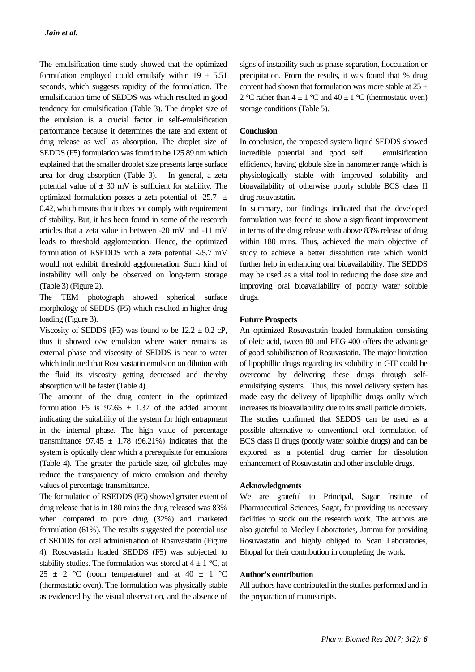The emulsification time study showed that the optimized formulation employed could emulsify within  $19 \pm 5.51$ seconds, which suggests rapidity of the formulation. The emulsification time of SEDDS was which resulted in good tendency for emulsification (Table 3). The droplet size of the emulsion is a crucial factor in self-emulsification performance because it determines the rate and extent of drug release as well as absorption. The droplet size of SEDDS (F5) formulation was found to be 125.89 nm which explained that the smaller droplet size presents large surface area for drug absorption (Table 3). In general, a zeta potential value of  $\pm$  30 mV is sufficient for stability. The optimized formulation posses a zeta potential of  $-25.7 \pm 1$ 0.42, which means that it does not comply with requirement of stability. But, it has been found in some of the research articles that a zeta value in between -20 mV and -11 mV leads to threshold agglomeration. Hence, the optimized formulation of RSEDDS with a zeta potential -25.7 mV would not exhibit threshold agglomeration. Such kind of instability will only be observed on long-term storage (Table 3) (Figure 2).

The TEM photograph showed spherical surface morphology of SEDDS (F5) which resulted in higher drug loading (Figure 3).

Viscosity of SEDDS (F5) was found to be  $12.2 \pm 0.2$  cP, thus it showed o/w emulsion where water remains as external phase and viscosity of SEDDS is near to water which indicated that Rosuvastatin emulsion on dilution with the fluid its viscosity getting decreased and thereby absorption will be faster (Table 4).

The amount of the drug content in the optimized formulation F5 is  $97.65 \pm 1.37$  of the added amount indicating the suitability of the system for high entrapment in the internal phase. The high value of percentage transmittance  $97.45 \pm 1.78$  (96.21%) indicates that the system is optically clear which a prerequisite for emulsions (Table 4). The greater the particle size, oil globules may reduce the transparency of micro emulsion and thereby values of percentage transmittance**.**

The formulation of RSEDDS (F5) showed greater extent of drug release that is in 180 mins the drug released was 83% when compared to pure drug (32%) and marketed formulation (61%). The results suggested the potential use of SEDDS for oral administration of Rosuvastatin (Figure 4). Rosuvastatin loaded SEDDS (F5) was subjected to stability studies. The formulation was stored at  $4 \pm 1$  °C, at  $25 \pm 2$  °C (room temperature) and at 40  $\pm$  1 °C (thermostatic oven). The formulation was physically stable as evidenced by the visual observation, and the absence of signs of instability such as phase separation, flocculation or precipitation. From the results, it was found that % drug content had shown that formulation was more stable at  $25 \pm$ 2 °C rather than  $4 \pm 1$  °C and  $40 \pm 1$  °C (thermostatic oven) storage conditions (Table 5).

### **Conclusion**

In conclusion, the proposed system liquid SEDDS showed incredible potential and good self emulsification efficiency, having globule size in nanometer range which is physiologically stable with improved solubility and bioavailability of otherwise poorly soluble BCS class II drug rosuvastatin**.**

In summary, our findings indicated that the developed formulation was found to show a significant improvement in terms of the drug release with above 83% release of drug within 180 mins. Thus, achieved the main objective of study to achieve a better dissolution rate which would further help in enhancing oral bioavailability. The SEDDS may be used as a vital tool in reducing the dose size and improving oral bioavailability of poorly water soluble drugs.

### **Future Prospects**

An optimized Rosuvastatin loaded formulation consisting of oleic acid, tween 80 and PEG 400 offers the advantage of good solubilisation of Rosuvastatin. The major limitation of lipophillic drugs regarding its solubility in GIT could be overcome by delivering these drugs through selfemulsifying systems. Thus, this novel delivery system has made easy the delivery of lipophillic drugs orally which increases its bioavailability due to its small particle droplets. The studies confirmed that SEDDS can be used as a possible alternative to conventional oral formulation of BCS class II drugs (poorly water soluble drugs) and can be explored as a potential drug carrier for dissolution enhancement of Rosuvastatin and other insoluble drugs.

### **Acknowledgments**

We are grateful to Principal, Sagar Institute of Pharmaceutical Sciences, Sagar, for providing us necessary facilities to stock out the research work. The authors are also grateful to Medley Laboratories, Jammu for providing Rosuvastatin and highly obliged to Scan Laboratories, Bhopal for their contribution in completing the work.

### **Author's contribution**

All authors have contributed in the studies performed and in the preparation of manuscripts.